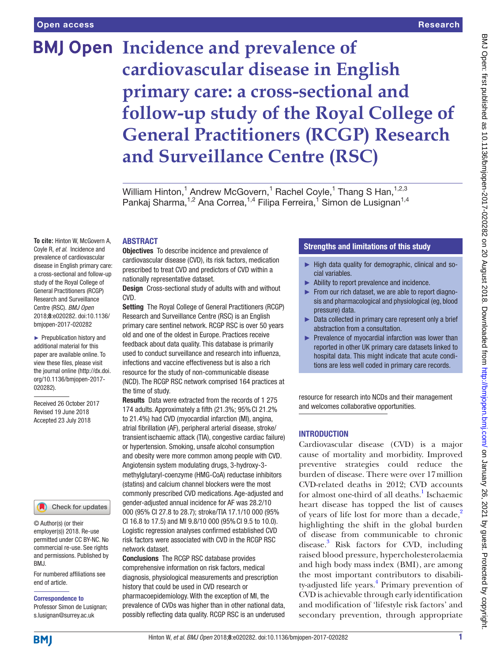**To cite:** Hinton W, McGovern A, Coyle R, *et al*. Incidence and prevalence of cardiovascular disease in English primary care: a cross-sectional and follow-up study of the Royal College of General Practitioners (RCGP) Research and Surveillance Centre (RSC). *BMJ Open* 2018;8:e020282. doi:10.1136/ bmjopen-2017-020282 ► Prepublication history and additional material for this paper are available online. To view these files, please visit the journal online [\(http://dx.doi.](http://dx.doi.org/10.1136/bmjopen-2017-020282) [org/10.1136/bmjopen-2017-](http://dx.doi.org/10.1136/bmjopen-2017-020282)

# **BMJ Open Incidence and prevalence of cardiovascular disease in English primary care: a cross-sectional and follow-up study of the Royal College of General Practitioners (RCGP) Research and Surveillance Centre (RSC)**

William Hinton,<sup>1</sup> Andrew McGovern,<sup>1</sup> Rachel Coyle,<sup>1</sup> Thang S Han,<sup>1,2,3</sup> Pankaj Sharma,<sup>1,2</sup> Ana Correa,<sup>1,4</sup> Filipa Ferreira,<sup>1</sup> Simon de Lusignan<sup>1,4</sup>

# **ABSTRACT**

**Objectives** To describe incidence and prevalence of cardiovascular disease (CVD), its risk factors, medication prescribed to treat CVD and predictors of CVD within a nationally representative dataset.

**Design** Cross-sectional study of adults with and without CVD.

Setting The Royal College of General Practitioners (RCGP) Research and Surveillance Centre (RSC) is an English primary care sentinel network. RCGP RSC is over 50 years old and one of the oldest in Europe. Practices receive feedback about data quality. This database is primarily used to conduct surveillance and research into influenza, infections and vaccine effectiveness but is also a rich resource for the study of non-communicable disease (NCD). The RCGP RSC network comprised 164 practices at the time of study.

Results Data were extracted from the records of 1 275 174 adults. Approximately a fifth (21.3%; 95%CI 21.2% to 21.4%) had CVD (myocardial infarction (MI), angina, atrial fibrillation (AF), peripheral arterial disease, stroke/ transientischaemic attack (TIA), congestive cardiac failure) or hypertension. Smoking, unsafe alcohol consumption and obesity were more common among people with CVD. Angiotensin system modulating drugs, 3-hydroxy-3 methylglutaryl-coenzyme (HMG-CoA) reductase inhibitors (statins) and calcium channel blockers were the most commonly prescribed CVD medications. Age-adjusted and gender-adjusted annual incidence for AF was 28.2/10 000 (95% CI 27.8 to 28.7); stroke/TIA 17.1/10 000 (95% CI 16.8 to 17.5) and MI 9.8/10 000 (95%CI 9.5 to 10.0). Logistic regression analyses confirmed established CVD risk factors were associated with CVD in the RCGP RSC network dataset.

Conclusions The RCGP RSC database provides comprehensive information on risk factors, medical diagnosis, physiological measurements and prescription history that could be used in CVD research or pharmacoepidemiology. With the exception of MI, the prevalence of CVDs was higher than in other national data, possibly reflecting data quality. RCGP RSC is an underused

# Strengths and limitations of this study

- ► High data quality for demographic, clinical and social variables.
- ► Ability to report prevalence and incidence.
- ► From our rich dataset, we are able to report diagnosis and pharmacological and physiological (eg, blood pressure) data.
- ► Data collected in primary care represent only a brief abstraction from a consultation.
- Prevalence of myocardial infarction was lower than reported in other UK primary care datasets linked to hospital data. This might indicate that acute conditions are less well coded in primary care records.

resource for research into NCDs and their management and welcomes collaborative opportunities.

### **INTRODUCTION**

Cardiovascular disease (CVD) is a major cause of mortality and morbidity. Improved preventive strategies could reduce the burden of disease. There were over 17million CVD-related deaths in 2012; CVD accounts for almost one-third of all deaths.<sup>[1](#page-7-0)</sup> Ischaemic heart disease has topped the list of causes of years of life lost for more than a decade,<sup>2</sup> highlighting the shift in the global burden of disease from communicable to chronic disease.<sup>[3](#page-7-2)</sup> Risk factors for CVD, including raised blood pressure, hypercholesterolaemia and high body mass index (BMI), are among the most important contributors to disabili-ty-adjusted life years.<sup>[4](#page-7-3)</sup> Primary prevention of CVD is achievable through early identification and modification of 'lifestyle risk factors' and secondary prevention, through appropriate

permitted under CC BY-NC. No

© Author(s) (or their employer(s)) 2018. Re-use

[020282\)](http://dx.doi.org/10.1136/bmjopen-2017-020282).

Received 26 October 2017 Revised 19 June 2018 Accepted 23 July 2018

For numbered affiliations see commercial re-use. See rights and permissions. Published by BMJ.

Check for updates

end of article.

#### Correspondence to

Professor Simon de Lusignan; s.lusignan@surrey.ac.uk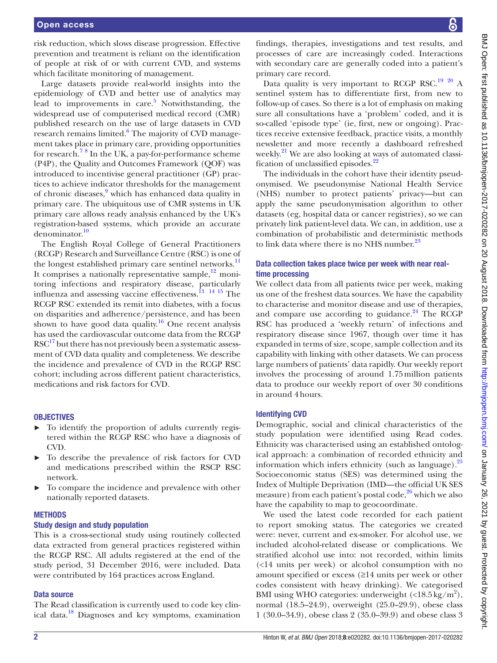risk reduction, which slows disease progression. Effective prevention and treatment is reliant on the identification of people at risk of or with current CVD, and systems which facilitate monitoring of management.

Large datasets provide real-world insights into the epidemiology of CVD and better use of analytics may lead to improvements in care. $5$  Notwithstanding, the widespread use of computerised medical record (CMR) published research on the use of large datasets in CVD research remains limited.<sup>6</sup> The majority of CVD management takes place in primary care, providing opportunities for research.<sup>[7](#page-8-1)[8](#page-8-2)</sup> In the UK, a pay-for-performance scheme (P4P), the Quality and Outcomes Framework (QOF) was introduced to incentivise general practitioner (GP) practices to achieve indicator thresholds for the management of chronic diseases,<sup>[9](#page-8-3)</sup> which has enhanced data quality in primary care. The ubiquitous use of CMR systems in UK primary care allows ready analysis enhanced by the UK's registration-based systems, which provide an accurate denominator.<sup>[10](#page-8-4)</sup>

The English Royal College of General Practitioners (RCGP) Research and Surveillance Centre (RSC) is one of the longest established primary care sentinel networks.<sup>11</sup> It comprises a nationally representative sample, $12$  monitoring infections and respiratory disease, particularly influenza and assessing vaccine effectiveness[.13](#page-8-7) [14](#page-8-8) [15](#page-8-9) The RCGP RSC extended its remit into diabetes, with a focus on disparities and adherence/persistence, and has been shown to have good data quality.<sup>16</sup> One recent analysis has used the cardiovascular outcome data from the RCGP  $RSC<sup>17</sup>$  but there has not previously been a systematic assessment of CVD data quality and completeness. We describe the incidence and prevalence of CVD in the RCGP RSC cohort; including across different patient characteristics, medications and risk factors for CVD.

#### **OBJECTIVES**

- ► To identify the proportion of adults currently registered within the RCGP RSC who have a diagnosis of CVD.
- To describe the prevalence of risk factors for CVD and medications prescribed within the RSCP RSC network.
- To compare the incidence and prevalence with other nationally reported datasets.

#### **METHODS**

#### Study design and study population

This is a cross-sectional study using routinely collected data extracted from general practices registered within the RCGP RSC. All adults registered at the end of the study period, 31 December 2016, were included. Data were contributed by 164 practices across England.

#### Data source

The Read classification is currently used to code key clinical data.[18](#page-8-12) Diagnoses and key symptoms, examination

findings, therapies, investigations and test results, and processes of care are increasingly coded. Interactions with secondary care are generally coded into a patient's primary care record.

Data quality is very important to RCGP RSC.<sup>19 [20](#page-8-14)</sup> A sentinel system has to differentiate first, from new to follow-up of cases. So there is a lot of emphasis on making sure all consultations have a 'problem' coded, and it is so-called 'episode type' (ie, first, new or ongoing). Practices receive extensive feedback, practice visits, a monthly newsletter and more recently a dashboard refreshed weekly.<sup>21</sup> We are also looking at ways of automated classi-fication of unclassified episodes.<sup>[22](#page-8-16)</sup>

The individuals in the cohort have their identity pseudonymised. We pseudonymise National Health Service (NHS) number to protect patients' privacy—but can apply the same pseudonymisation algorithm to other datasets (eg, hospital data or cancer registries), so we can privately link patient-level data. We can, in addition, use a combination of probabilistic and deterministic methods to link data where there is no NHS number.<sup>23</sup>

### Data collection takes place twice per week with near realtime processing

We collect data from all patients twice per week, making us one of the freshest data sources. We have the capability to characterise and monitor disease and use of therapies, and compare use according to guidance. $24$  The RCGP RSC has produced a 'weekly return' of infections and respiratory disease since 1967, though over time it has expanded in terms of size, scope, sample collection and its capability with linking with other datasets. We can process large numbers of patients' data rapidly. Our weekly report involves the processing of around 1.75million patients data to produce our weekly report of over 30 conditions in around 4hours.

#### Identifying CVD

Demographic, social and clinical characteristics of the study population were identified using Read codes. Ethnicity was characterised using an established ontological approach: a combination of recorded ethnicity and information which infers ethnicity (such as language). $^{25}$  $^{25}$  $^{25}$ Socioeconomic status (SES) was determined using the Index of Multiple Deprivation (IMD—the official UK SES measure) from each patient's postal code, $26$  which we also have the capability to map to geocoordinate.

We used the latest code recorded for each patient to report smoking status. The categories we created were: never, current and ex-smoker. For alcohol use, we included alcohol-related disease or complications. We stratified alcohol use into: not recorded, within limits (<14 units per week) or alcohol consumption with no amount specified or excess (≥14 units per week or other codes consistent with heavy drinking). We categorised BMI using WHO categories: underweight  $(\langle 18.5 \text{ kg/m}^2 \rangle)$ , normal (18.5–24.9), overweight (25.0–29.9), obese class 1 (30.0–34.9), obese class 2 (35.0–39.9) and obese class 3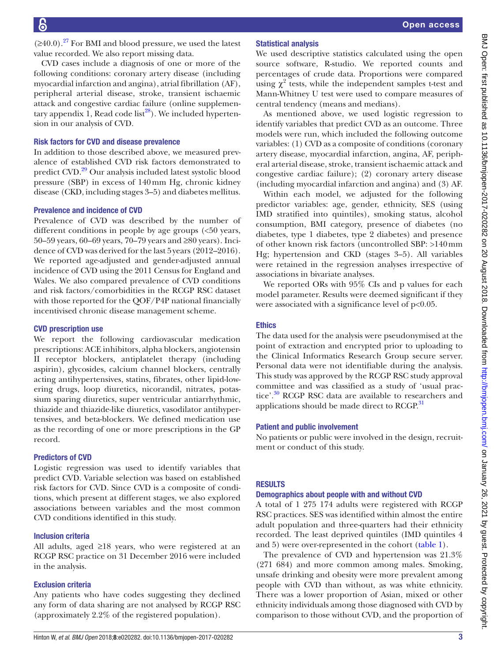$(\geq 40.0)$ .<sup>[27](#page-8-21)</sup> For BMI and blood pressure, we used the latest value recorded. We also report missing data.

CVD cases include a diagnosis of one or more of the following conditions: coronary artery disease (including myocardial infarction and angina), atrial fibrillation (AF), peripheral arterial disease, stroke, transient ischaemic attack and congestive cardiac failure (online [supplemen](https://dx.doi.org/10.1136/bmjopen-2017-020282)[tary appendix 1](https://dx.doi.org/10.1136/bmjopen-2017-020282), Read code list<sup>28</sup>). We included hypertension in our analysis of CVD.

#### Risk factors for CVD and disease prevalence

In addition to those described above, we measured prevalence of established CVD risk factors demonstrated to predict CVD.[29](#page-8-23) Our analysis included latest systolic blood pressure (SBP) in excess of 140mm Hg, chronic kidney disease (CKD, including stages 3–5) and diabetes mellitus.

#### Prevalence and incidence of CVD

Prevalence of CVD was described by the number of different conditions in people by age groups (<50 years, 50–59 years, 60–69 years, 70–79 years and ≥80 years). Incidence of CVD was derived for the last 5years (2012–2016). We reported age-adjusted and gender-adjusted annual incidence of CVD using the 2011 Census for England and Wales. We also compared prevalence of CVD conditions and risk factors/comorbidities in the RCGP RSC dataset with those reported for the QOF/P4P national financially incentivised chronic disease management scheme.

#### CVD prescription use

We report the following cardiovascular medication prescriptions: ACE inhibitors, alpha blockers, angiotensin II receptor blockers, antiplatelet therapy (including aspirin), glycosides, calcium channel blockers, centrally acting antihypertensives, statins, fibrates, other lipid-lowering drugs, loop diuretics, nicorandil, nitrates, potassium sparing diuretics, super ventricular antiarrhythmic, thiazide and thiazide-like diuretics, vasodilator antihypertensives, and beta-blockers. We defined medication use as the recording of one or more prescriptions in the GP record.

# Predictors of CVD

Logistic regression was used to identify variables that predict CVD. Variable selection was based on established risk factors for CVD. Since CVD is a composite of conditions, which present at different stages, we also explored associations between variables and the most common CVD conditions identified in this study.

#### Inclusion criteria

All adults, aged ≥18 years, who were registered at an RCGP RSC practice on 31 December 2016 were included in the analysis.

# Exclusion criteria

Any patients who have codes suggesting they declined any form of data sharing are not analysed by RCGP RSC (approximately 2.2% of the registered population).

# Statistical analysis

We used descriptive statistics calculated using the open source software, R-studio. We reported counts and percentages of crude data. Proportions were compared using  $\chi^2$  tests, while the independent samples t-test and Mann-Whitney U test were used to compare measures of central tendency (means and medians).

As mentioned above, we used logistic regression to identify variables that predict CVD as an outcome. Three models were run, which included the following outcome variables: (1) CVD as a composite of conditions (coronary artery disease, myocardial infarction, angina, AF, peripheral arterial disease, stroke, transient ischaemic attack and congestive cardiac failure); (2) coronary artery disease (including myocardial infarction and angina) and (3) AF.

Within each model, we adjusted for the following predictor variables: age, gender, ethnicity, SES (using IMD stratified into quintiles), smoking status, alcohol consumption, BMI category, presence of diabetes (no diabetes, type 1 diabetes, type 2 diabetes) and presence of other known risk factors (uncontrolled SBP: >140mm Hg; hypertension and CKD (stages 3–5). All variables were retained in the regression analyses irrespective of associations in bivariate analyses.

We reported ORs with 95% CIs and p values for each model parameter. Results were deemed significant if they were associated with a significance level of p<0.05.

# Ethics

The data used for the analysis were pseudonymised at the point of extraction and encrypted prior to uploading to the Clinical Informatics Research Group secure server. Personal data were not identifiable during the analysis. This study was approved by the RCGP RSC study approval committee and was classified as a study of 'usual practice'.<sup>30</sup> RCGP RSC data are available to researchers and applications should be made direct to RCGP.<sup>[31](#page-8-25)</sup>

# Patient and public involvement

No patients or public were involved in the design, recruitment or conduct of this study.

# **RESULTS**

#### Demographics about people with and without CVD

A total of 1 275 174 adults were registered with RCGP RSC practices. SES was identified within almost the entire adult population and three-quarters had their ethnicity recorded. The least deprived quintiles (IMD quintiles 4 and 5) were over-represented in the cohort [\(table](#page-3-0) 1).

The prevalence of CVD and hypertension was 21.3% (271 684) and more common among males. Smoking, unsafe drinking and obesity were more prevalent among people with CVD than without, as was white ethnicity. There was a lower proportion of Asian, mixed or other ethnicity individuals among those diagnosed with CVD by comparison to those without CVD, and the proportion of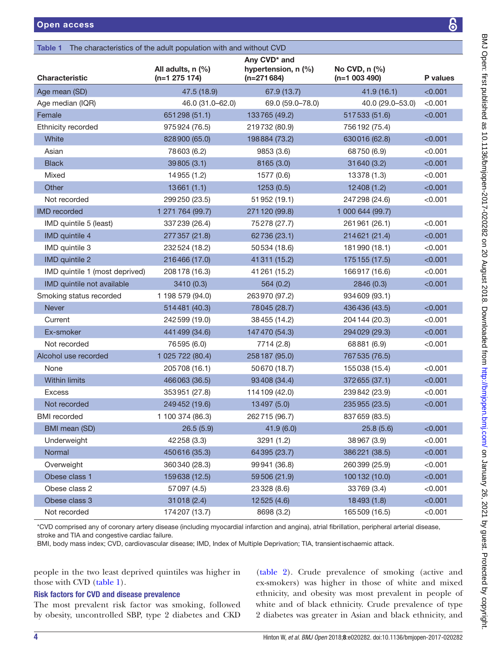<span id="page-3-0"></span>

| Any CVD <sup>*</sup> and<br>All adults, n (%)<br>hypertension, n (%)<br>No CVD, $n$ $%$<br>$(n=1 003 490)$<br>$(n=1 275 174)$<br>$(n=271684)$<br>P values<br>< 0.001<br>47.5 (18.9)<br>67.9 (13.7)<br>41.9(16.1)<br>46.0 (31.0-62.0)<br>69.0 (59.0-78.0)<br>40.0 (29.0-53.0)<br>< 0.001<br>651298 (51.1)<br>133765 (49.2)<br>517533 (51.6)<br>< 0.001<br>975924 (76.5)<br>219732 (80.9)<br>756 192 (75.4)<br>White<br>198884 (73.2)<br>630016 (62.8)<br>< 0.001<br>828900 (65.0)<br>Asian<br>< 0.001<br>78603 (6.2)<br>9853 (3.6)<br>68750 (6.9)<br><b>Black</b><br>39805 (3.1)<br>31 640 (3.2)<br>< 0.001<br>8165 (3.0)<br>Mixed<br>14955 (1.2)<br>1577 (0.6)<br>13378 (1.3)<br>< 0.001<br>Other<br>13661(1.1)<br>1253(0.5)<br>12408(1.2)<br>< 0.001<br>Not recorded<br>299250 (23.5)<br>51952 (19.1)<br>247 298 (24.6)<br>< 0.001<br>1 271 764 (99.7)<br>271 120 (99.8)<br>1 000 644 (99.7)<br>< 0.001<br>IMD quintile 5 (least)<br>337239 (26.4)<br>75278 (27.7)<br>261961 (26.1)<br>IMD quintile 4<br>277357 (21.8)<br>62736 (23.1)<br>< 0.001<br>214621 (21.4)<br>IMD quintile 3<br>< 0.001<br>232524 (18.2)<br>50 534 (18.6)<br>181990 (18.1)<br>IMD quintile 2<br>175 155 (17.5)<br>216466 (17.0)<br>41311 (15.2)<br>< 0.001<br>IMD quintile 1 (most deprived)<br>208 178 (16.3)<br>41 261 (15.2)<br>166917 (16.6)<br>< 0.001<br>IMD quintile not available<br>2846 (0.3)<br>< 0.001<br>3410(0.3)<br>564(0.2)<br>1 198 579 (94.0)<br>263970 (97.2)<br>934 609 (93.1)<br>Never<br>< 0.001<br>514481 (40.3)<br>78045 (28.7)<br>436 436 (43.5)<br>Current<br>242 599 (19.0)<br>38455 (14.2)<br>204 144 (20.3)<br>< 0.001<br>441 499 (34.6)<br>294 029 (29.3)<br>< 0.001<br>Ex-smoker<br>147470 (54.3)<br>Not recorded<br>76595 (6.0)<br>7714 (2.8)<br>68881 (6.9)<br>< 0.001<br>1 025 722 (80.4)<br>258 187 (95.0)<br>767 535 (76.5)<br>None<br>< 0.001<br>205708 (16.1)<br>50670 (18.7)<br>155038 (15.4)<br>Within limits<br>466063 (36.5)<br>93408 (34.4)<br>372655 (37.1)<br>< 0.001<br>353951 (27.8)<br>114 109 (42.0)<br>< 0.001<br><b>Excess</b><br>239842 (23.9)<br>Not recorded<br>249452 (19.6)<br>13497 (5.0)<br>235955 (23.5)<br>< 0.001<br>1 100 374 (86.3)<br>262715 (96.7)<br>837 659 (83.5)<br>BMI mean (SD)<br>< 0.001<br>26.5(5.9)<br>41.9(6.0)<br>25.8(5.6)<br>42258 (3.3)<br>38967 (3.9)<br>Underweight<br>3291 (1.2)<br>< 0.001<br>Normal<br>450616 (35.3)<br>64395 (23.7)<br>386221 (38.5)<br>< 0.001<br>< 0.001<br>Overweight<br>360340 (28.3)<br>99941 (36.8)<br>260399 (25.9)<br>Obese class 1<br>159638 (12.5)<br>59506 (21.9)<br>100132 (10.0)<br>< 0.001<br>Obese class 2<br>33769 (3.4)<br>< 0.001<br>57097 (4.5)<br>23328 (8.6)<br>Obese class 3<br>18493 (1.8)<br>31018 (2.4)<br>12525(4.6)<br>< 0.001<br>Not recorded<br>174207 (13.7)<br>165509 (16.5)<br>< 0.001<br>8698 (3.2) | The characteristics of the adult population with and without CVD<br>Table 1 |  |  |  |  |  |  |
|---------------------------------------------------------------------------------------------------------------------------------------------------------------------------------------------------------------------------------------------------------------------------------------------------------------------------------------------------------------------------------------------------------------------------------------------------------------------------------------------------------------------------------------------------------------------------------------------------------------------------------------------------------------------------------------------------------------------------------------------------------------------------------------------------------------------------------------------------------------------------------------------------------------------------------------------------------------------------------------------------------------------------------------------------------------------------------------------------------------------------------------------------------------------------------------------------------------------------------------------------------------------------------------------------------------------------------------------------------------------------------------------------------------------------------------------------------------------------------------------------------------------------------------------------------------------------------------------------------------------------------------------------------------------------------------------------------------------------------------------------------------------------------------------------------------------------------------------------------------------------------------------------------------------------------------------------------------------------------------------------------------------------------------------------------------------------------------------------------------------------------------------------------------------------------------------------------------------------------------------------------------------------------------------------------------------------------------------------------------------------------------------------------------------------------------------------------------------------------------------------------------------------------------------------------------------------------------------------------------------------------------------------------------------------------------------------------------------------------------------------------------------------------------------------------------------|-----------------------------------------------------------------------------|--|--|--|--|--|--|
|                                                                                                                                                                                                                                                                                                                                                                                                                                                                                                                                                                                                                                                                                                                                                                                                                                                                                                                                                                                                                                                                                                                                                                                                                                                                                                                                                                                                                                                                                                                                                                                                                                                                                                                                                                                                                                                                                                                                                                                                                                                                                                                                                                                                                                                                                                                                                                                                                                                                                                                                                                                                                                                                                                                                                                                                                     | <b>Characteristic</b>                                                       |  |  |  |  |  |  |
|                                                                                                                                                                                                                                                                                                                                                                                                                                                                                                                                                                                                                                                                                                                                                                                                                                                                                                                                                                                                                                                                                                                                                                                                                                                                                                                                                                                                                                                                                                                                                                                                                                                                                                                                                                                                                                                                                                                                                                                                                                                                                                                                                                                                                                                                                                                                                                                                                                                                                                                                                                                                                                                                                                                                                                                                                     | Age mean (SD)                                                               |  |  |  |  |  |  |
|                                                                                                                                                                                                                                                                                                                                                                                                                                                                                                                                                                                                                                                                                                                                                                                                                                                                                                                                                                                                                                                                                                                                                                                                                                                                                                                                                                                                                                                                                                                                                                                                                                                                                                                                                                                                                                                                                                                                                                                                                                                                                                                                                                                                                                                                                                                                                                                                                                                                                                                                                                                                                                                                                                                                                                                                                     | Age median (IQR)                                                            |  |  |  |  |  |  |
|                                                                                                                                                                                                                                                                                                                                                                                                                                                                                                                                                                                                                                                                                                                                                                                                                                                                                                                                                                                                                                                                                                                                                                                                                                                                                                                                                                                                                                                                                                                                                                                                                                                                                                                                                                                                                                                                                                                                                                                                                                                                                                                                                                                                                                                                                                                                                                                                                                                                                                                                                                                                                                                                                                                                                                                                                     | Female                                                                      |  |  |  |  |  |  |
|                                                                                                                                                                                                                                                                                                                                                                                                                                                                                                                                                                                                                                                                                                                                                                                                                                                                                                                                                                                                                                                                                                                                                                                                                                                                                                                                                                                                                                                                                                                                                                                                                                                                                                                                                                                                                                                                                                                                                                                                                                                                                                                                                                                                                                                                                                                                                                                                                                                                                                                                                                                                                                                                                                                                                                                                                     | Ethnicity recorded                                                          |  |  |  |  |  |  |
|                                                                                                                                                                                                                                                                                                                                                                                                                                                                                                                                                                                                                                                                                                                                                                                                                                                                                                                                                                                                                                                                                                                                                                                                                                                                                                                                                                                                                                                                                                                                                                                                                                                                                                                                                                                                                                                                                                                                                                                                                                                                                                                                                                                                                                                                                                                                                                                                                                                                                                                                                                                                                                                                                                                                                                                                                     |                                                                             |  |  |  |  |  |  |
|                                                                                                                                                                                                                                                                                                                                                                                                                                                                                                                                                                                                                                                                                                                                                                                                                                                                                                                                                                                                                                                                                                                                                                                                                                                                                                                                                                                                                                                                                                                                                                                                                                                                                                                                                                                                                                                                                                                                                                                                                                                                                                                                                                                                                                                                                                                                                                                                                                                                                                                                                                                                                                                                                                                                                                                                                     |                                                                             |  |  |  |  |  |  |
|                                                                                                                                                                                                                                                                                                                                                                                                                                                                                                                                                                                                                                                                                                                                                                                                                                                                                                                                                                                                                                                                                                                                                                                                                                                                                                                                                                                                                                                                                                                                                                                                                                                                                                                                                                                                                                                                                                                                                                                                                                                                                                                                                                                                                                                                                                                                                                                                                                                                                                                                                                                                                                                                                                                                                                                                                     |                                                                             |  |  |  |  |  |  |
|                                                                                                                                                                                                                                                                                                                                                                                                                                                                                                                                                                                                                                                                                                                                                                                                                                                                                                                                                                                                                                                                                                                                                                                                                                                                                                                                                                                                                                                                                                                                                                                                                                                                                                                                                                                                                                                                                                                                                                                                                                                                                                                                                                                                                                                                                                                                                                                                                                                                                                                                                                                                                                                                                                                                                                                                                     |                                                                             |  |  |  |  |  |  |
|                                                                                                                                                                                                                                                                                                                                                                                                                                                                                                                                                                                                                                                                                                                                                                                                                                                                                                                                                                                                                                                                                                                                                                                                                                                                                                                                                                                                                                                                                                                                                                                                                                                                                                                                                                                                                                                                                                                                                                                                                                                                                                                                                                                                                                                                                                                                                                                                                                                                                                                                                                                                                                                                                                                                                                                                                     |                                                                             |  |  |  |  |  |  |
|                                                                                                                                                                                                                                                                                                                                                                                                                                                                                                                                                                                                                                                                                                                                                                                                                                                                                                                                                                                                                                                                                                                                                                                                                                                                                                                                                                                                                                                                                                                                                                                                                                                                                                                                                                                                                                                                                                                                                                                                                                                                                                                                                                                                                                                                                                                                                                                                                                                                                                                                                                                                                                                                                                                                                                                                                     |                                                                             |  |  |  |  |  |  |
|                                                                                                                                                                                                                                                                                                                                                                                                                                                                                                                                                                                                                                                                                                                                                                                                                                                                                                                                                                                                                                                                                                                                                                                                                                                                                                                                                                                                                                                                                                                                                                                                                                                                                                                                                                                                                                                                                                                                                                                                                                                                                                                                                                                                                                                                                                                                                                                                                                                                                                                                                                                                                                                                                                                                                                                                                     | <b>IMD</b> recorded                                                         |  |  |  |  |  |  |
|                                                                                                                                                                                                                                                                                                                                                                                                                                                                                                                                                                                                                                                                                                                                                                                                                                                                                                                                                                                                                                                                                                                                                                                                                                                                                                                                                                                                                                                                                                                                                                                                                                                                                                                                                                                                                                                                                                                                                                                                                                                                                                                                                                                                                                                                                                                                                                                                                                                                                                                                                                                                                                                                                                                                                                                                                     |                                                                             |  |  |  |  |  |  |
|                                                                                                                                                                                                                                                                                                                                                                                                                                                                                                                                                                                                                                                                                                                                                                                                                                                                                                                                                                                                                                                                                                                                                                                                                                                                                                                                                                                                                                                                                                                                                                                                                                                                                                                                                                                                                                                                                                                                                                                                                                                                                                                                                                                                                                                                                                                                                                                                                                                                                                                                                                                                                                                                                                                                                                                                                     |                                                                             |  |  |  |  |  |  |
|                                                                                                                                                                                                                                                                                                                                                                                                                                                                                                                                                                                                                                                                                                                                                                                                                                                                                                                                                                                                                                                                                                                                                                                                                                                                                                                                                                                                                                                                                                                                                                                                                                                                                                                                                                                                                                                                                                                                                                                                                                                                                                                                                                                                                                                                                                                                                                                                                                                                                                                                                                                                                                                                                                                                                                                                                     |                                                                             |  |  |  |  |  |  |
|                                                                                                                                                                                                                                                                                                                                                                                                                                                                                                                                                                                                                                                                                                                                                                                                                                                                                                                                                                                                                                                                                                                                                                                                                                                                                                                                                                                                                                                                                                                                                                                                                                                                                                                                                                                                                                                                                                                                                                                                                                                                                                                                                                                                                                                                                                                                                                                                                                                                                                                                                                                                                                                                                                                                                                                                                     |                                                                             |  |  |  |  |  |  |
|                                                                                                                                                                                                                                                                                                                                                                                                                                                                                                                                                                                                                                                                                                                                                                                                                                                                                                                                                                                                                                                                                                                                                                                                                                                                                                                                                                                                                                                                                                                                                                                                                                                                                                                                                                                                                                                                                                                                                                                                                                                                                                                                                                                                                                                                                                                                                                                                                                                                                                                                                                                                                                                                                                                                                                                                                     |                                                                             |  |  |  |  |  |  |
|                                                                                                                                                                                                                                                                                                                                                                                                                                                                                                                                                                                                                                                                                                                                                                                                                                                                                                                                                                                                                                                                                                                                                                                                                                                                                                                                                                                                                                                                                                                                                                                                                                                                                                                                                                                                                                                                                                                                                                                                                                                                                                                                                                                                                                                                                                                                                                                                                                                                                                                                                                                                                                                                                                                                                                                                                     |                                                                             |  |  |  |  |  |  |
|                                                                                                                                                                                                                                                                                                                                                                                                                                                                                                                                                                                                                                                                                                                                                                                                                                                                                                                                                                                                                                                                                                                                                                                                                                                                                                                                                                                                                                                                                                                                                                                                                                                                                                                                                                                                                                                                                                                                                                                                                                                                                                                                                                                                                                                                                                                                                                                                                                                                                                                                                                                                                                                                                                                                                                                                                     | Smoking status recorded                                                     |  |  |  |  |  |  |
|                                                                                                                                                                                                                                                                                                                                                                                                                                                                                                                                                                                                                                                                                                                                                                                                                                                                                                                                                                                                                                                                                                                                                                                                                                                                                                                                                                                                                                                                                                                                                                                                                                                                                                                                                                                                                                                                                                                                                                                                                                                                                                                                                                                                                                                                                                                                                                                                                                                                                                                                                                                                                                                                                                                                                                                                                     |                                                                             |  |  |  |  |  |  |
|                                                                                                                                                                                                                                                                                                                                                                                                                                                                                                                                                                                                                                                                                                                                                                                                                                                                                                                                                                                                                                                                                                                                                                                                                                                                                                                                                                                                                                                                                                                                                                                                                                                                                                                                                                                                                                                                                                                                                                                                                                                                                                                                                                                                                                                                                                                                                                                                                                                                                                                                                                                                                                                                                                                                                                                                                     |                                                                             |  |  |  |  |  |  |
|                                                                                                                                                                                                                                                                                                                                                                                                                                                                                                                                                                                                                                                                                                                                                                                                                                                                                                                                                                                                                                                                                                                                                                                                                                                                                                                                                                                                                                                                                                                                                                                                                                                                                                                                                                                                                                                                                                                                                                                                                                                                                                                                                                                                                                                                                                                                                                                                                                                                                                                                                                                                                                                                                                                                                                                                                     |                                                                             |  |  |  |  |  |  |
|                                                                                                                                                                                                                                                                                                                                                                                                                                                                                                                                                                                                                                                                                                                                                                                                                                                                                                                                                                                                                                                                                                                                                                                                                                                                                                                                                                                                                                                                                                                                                                                                                                                                                                                                                                                                                                                                                                                                                                                                                                                                                                                                                                                                                                                                                                                                                                                                                                                                                                                                                                                                                                                                                                                                                                                                                     |                                                                             |  |  |  |  |  |  |
|                                                                                                                                                                                                                                                                                                                                                                                                                                                                                                                                                                                                                                                                                                                                                                                                                                                                                                                                                                                                                                                                                                                                                                                                                                                                                                                                                                                                                                                                                                                                                                                                                                                                                                                                                                                                                                                                                                                                                                                                                                                                                                                                                                                                                                                                                                                                                                                                                                                                                                                                                                                                                                                                                                                                                                                                                     | Alcohol use recorded                                                        |  |  |  |  |  |  |
|                                                                                                                                                                                                                                                                                                                                                                                                                                                                                                                                                                                                                                                                                                                                                                                                                                                                                                                                                                                                                                                                                                                                                                                                                                                                                                                                                                                                                                                                                                                                                                                                                                                                                                                                                                                                                                                                                                                                                                                                                                                                                                                                                                                                                                                                                                                                                                                                                                                                                                                                                                                                                                                                                                                                                                                                                     |                                                                             |  |  |  |  |  |  |
|                                                                                                                                                                                                                                                                                                                                                                                                                                                                                                                                                                                                                                                                                                                                                                                                                                                                                                                                                                                                                                                                                                                                                                                                                                                                                                                                                                                                                                                                                                                                                                                                                                                                                                                                                                                                                                                                                                                                                                                                                                                                                                                                                                                                                                                                                                                                                                                                                                                                                                                                                                                                                                                                                                                                                                                                                     |                                                                             |  |  |  |  |  |  |
|                                                                                                                                                                                                                                                                                                                                                                                                                                                                                                                                                                                                                                                                                                                                                                                                                                                                                                                                                                                                                                                                                                                                                                                                                                                                                                                                                                                                                                                                                                                                                                                                                                                                                                                                                                                                                                                                                                                                                                                                                                                                                                                                                                                                                                                                                                                                                                                                                                                                                                                                                                                                                                                                                                                                                                                                                     |                                                                             |  |  |  |  |  |  |
|                                                                                                                                                                                                                                                                                                                                                                                                                                                                                                                                                                                                                                                                                                                                                                                                                                                                                                                                                                                                                                                                                                                                                                                                                                                                                                                                                                                                                                                                                                                                                                                                                                                                                                                                                                                                                                                                                                                                                                                                                                                                                                                                                                                                                                                                                                                                                                                                                                                                                                                                                                                                                                                                                                                                                                                                                     |                                                                             |  |  |  |  |  |  |
|                                                                                                                                                                                                                                                                                                                                                                                                                                                                                                                                                                                                                                                                                                                                                                                                                                                                                                                                                                                                                                                                                                                                                                                                                                                                                                                                                                                                                                                                                                                                                                                                                                                                                                                                                                                                                                                                                                                                                                                                                                                                                                                                                                                                                                                                                                                                                                                                                                                                                                                                                                                                                                                                                                                                                                                                                     | <b>BMI</b> recorded                                                         |  |  |  |  |  |  |
|                                                                                                                                                                                                                                                                                                                                                                                                                                                                                                                                                                                                                                                                                                                                                                                                                                                                                                                                                                                                                                                                                                                                                                                                                                                                                                                                                                                                                                                                                                                                                                                                                                                                                                                                                                                                                                                                                                                                                                                                                                                                                                                                                                                                                                                                                                                                                                                                                                                                                                                                                                                                                                                                                                                                                                                                                     |                                                                             |  |  |  |  |  |  |
|                                                                                                                                                                                                                                                                                                                                                                                                                                                                                                                                                                                                                                                                                                                                                                                                                                                                                                                                                                                                                                                                                                                                                                                                                                                                                                                                                                                                                                                                                                                                                                                                                                                                                                                                                                                                                                                                                                                                                                                                                                                                                                                                                                                                                                                                                                                                                                                                                                                                                                                                                                                                                                                                                                                                                                                                                     |                                                                             |  |  |  |  |  |  |
|                                                                                                                                                                                                                                                                                                                                                                                                                                                                                                                                                                                                                                                                                                                                                                                                                                                                                                                                                                                                                                                                                                                                                                                                                                                                                                                                                                                                                                                                                                                                                                                                                                                                                                                                                                                                                                                                                                                                                                                                                                                                                                                                                                                                                                                                                                                                                                                                                                                                                                                                                                                                                                                                                                                                                                                                                     |                                                                             |  |  |  |  |  |  |
|                                                                                                                                                                                                                                                                                                                                                                                                                                                                                                                                                                                                                                                                                                                                                                                                                                                                                                                                                                                                                                                                                                                                                                                                                                                                                                                                                                                                                                                                                                                                                                                                                                                                                                                                                                                                                                                                                                                                                                                                                                                                                                                                                                                                                                                                                                                                                                                                                                                                                                                                                                                                                                                                                                                                                                                                                     |                                                                             |  |  |  |  |  |  |
|                                                                                                                                                                                                                                                                                                                                                                                                                                                                                                                                                                                                                                                                                                                                                                                                                                                                                                                                                                                                                                                                                                                                                                                                                                                                                                                                                                                                                                                                                                                                                                                                                                                                                                                                                                                                                                                                                                                                                                                                                                                                                                                                                                                                                                                                                                                                                                                                                                                                                                                                                                                                                                                                                                                                                                                                                     |                                                                             |  |  |  |  |  |  |
|                                                                                                                                                                                                                                                                                                                                                                                                                                                                                                                                                                                                                                                                                                                                                                                                                                                                                                                                                                                                                                                                                                                                                                                                                                                                                                                                                                                                                                                                                                                                                                                                                                                                                                                                                                                                                                                                                                                                                                                                                                                                                                                                                                                                                                                                                                                                                                                                                                                                                                                                                                                                                                                                                                                                                                                                                     |                                                                             |  |  |  |  |  |  |
|                                                                                                                                                                                                                                                                                                                                                                                                                                                                                                                                                                                                                                                                                                                                                                                                                                                                                                                                                                                                                                                                                                                                                                                                                                                                                                                                                                                                                                                                                                                                                                                                                                                                                                                                                                                                                                                                                                                                                                                                                                                                                                                                                                                                                                                                                                                                                                                                                                                                                                                                                                                                                                                                                                                                                                                                                     |                                                                             |  |  |  |  |  |  |
|                                                                                                                                                                                                                                                                                                                                                                                                                                                                                                                                                                                                                                                                                                                                                                                                                                                                                                                                                                                                                                                                                                                                                                                                                                                                                                                                                                                                                                                                                                                                                                                                                                                                                                                                                                                                                                                                                                                                                                                                                                                                                                                                                                                                                                                                                                                                                                                                                                                                                                                                                                                                                                                                                                                                                                                                                     |                                                                             |  |  |  |  |  |  |

\*CVD comprised any of coronary artery disease (including myocardial infarction and angina), atrial fibrillation, peripheral arterial disease, stroke and TIA and congestive cardiac failure.

BMI, body mass index; CVD, cardiovascular disease; IMD, Index of Multiple Deprivation; TIA, transientischaemic attack.

people in the two least deprived quintiles was higher in those with CVD [\(table](#page-3-0) 1).

# Risk factors for CVD and disease prevalence

The most prevalent risk factor was smoking, followed by obesity, uncontrolled SBP, type 2 diabetes and CKD

[\(table](#page-4-0) 2). Crude prevalence of smoking (active and ex-smokers) was higher in those of white and mixed ethnicity, and obesity was most prevalent in people of white and of black ethnicity. Crude prevalence of type 2 diabetes was greater in Asian and black ethnicity, and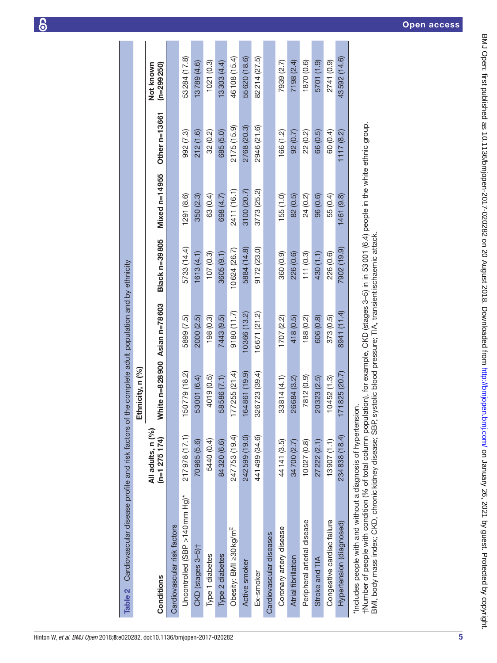| Cardiovascular disease profile and risk factors of the complete adult population and by ethnicity<br>Table 2 |                                      |                              |              |               |               |               |                           |
|--------------------------------------------------------------------------------------------------------------|--------------------------------------|------------------------------|--------------|---------------|---------------|---------------|---------------------------|
|                                                                                                              |                                      | Ethnicity, n (%)             |              |               |               |               |                           |
| Conditions                                                                                                   | All adults, n (%)<br>$(n=1 275 174)$ | White n=828900 Asian n=78603 |              | Black n=39805 | Mixed n=14955 | Other n=13661 | $(n=299250)$<br>Not known |
| Cardiovascular risk factors                                                                                  |                                      |                              |              |               |               |               |                           |
| Uncontrolled (SBP >140 mm Hg)*                                                                               | 217978 (17.1)                        | 50779 (18.2)                 | 5899 (7.5)   | 5733 (14.4)   | 1291 (8.6)    | 992 (7.3)     | 53284 (17.8)              |
| $CKD$ (stages $3-5$ ) <sup>†</sup>                                                                           | 70965 (5.6)                          | 53001 (6.4)                  | 2000 (2.5)   | 1613(4.1)     | 350(2.3)      | 212 (1.6)     | 13789 (4.6)               |
| Type 1 diabetes                                                                                              | 5440 (0.4)                           | 4019 (0.5)                   | 198(0.3)     | 107(0.3)      | 63 (0.4)      | 32 (0.2)      | 1021(0.3)                 |
| Type 2 diabetes                                                                                              | 84320 (6.6)                          | 58586 (7.1)                  | 7443 (9.5)   | 3605 (9.1)    | 698 (4.7)     | 685 (5.0)     | 13303 (4.4)               |
| Obesity: BMI ≥30 kg/m <sup>2</sup>                                                                           | 247753 (19.4)                        | 77 255 (21.4)                | 9180 (11.7)  | 10624 (26.7)  | 2411 (16.1)   | 2175 (15.9)   | 46108 (15.4)              |
| Active smoker                                                                                                | 242599 (19.0)                        | 64861 (19.9)                 | 10366 (13.2) | 5884 (14.8)   | 3100 (20.7)   | 2768 (20.3)   | 55620 (18.6)              |
| Ex-smoker                                                                                                    | 441499 (34.6)                        | 326723 (39.4)                | 16671 (21.2) | 9172(23.0)    | 3773 (25.2)   | 2946 (21.6)   | 82214 (27.5)              |
| Cardiovascular diseases                                                                                      |                                      |                              |              |               |               |               |                           |
| Coronary artery disease                                                                                      | 44141 (3.5)                          | 33814 (4.1)                  | 1707(2.2)    | 360 (0.9)     | 155(1.0)      | 166 (1.2)     | 7939 (2.7)                |
| Atrial fibrillation                                                                                          | 34700 (2.7)                          | 26684 (3.2)                  | 418 (0.5)    | 226 (0.6)     | 82 (0.5)      | 92 (0.7)      | 7198 (2.4)                |
| Peripheral arterial disease                                                                                  | 10027 (0.8)                          | 7812 (0.9)                   | 188 (0.2)    | 111(0.3)      | 24 (0.2)      | 22 (0.2)      | 1870 (0.6)                |
| Stroke and TIA                                                                                               | 27 222 (2.1)                         | 20323 (2.5)                  | 606 (0.8)    | 430 (1.1)     | 96 (0.6)      | 66 (0.5)      | 5701 (1.9)                |
| Congestive cardiac failure                                                                                   | 13907 (1.1)                          | 10452(1.3)                   | 373 (0.5)    | 226 (0.6)     | 55 (0.4)      | 60 (0.4)      | 2741 (0.9)                |
| Hypertension (diagnosed)                                                                                     | 234838 (18.4)                        | 71825 (20.7)                 | 8941 (11.4)  | 7902 (19.9)   | 1461(9.8)     | 1117(8.2)     | 43592 (14.6)              |
| "Includes people with and without a diagnosis of hypertension.                                               |                                      |                              |              |               |               |               |                           |

<span id="page-4-0"></span>\*Includes people with and without a diagnosis of hypertension.

†Number of people with condition (% of total column population), for example, CKD (stages 3–5) in in 53001 (6.4) people in the white ethnic group. ուսաշշ peopre with and winout a uragnosis or myperterision.<br>†Number of people with condition (% of total column population), for example, CKD (stages 3–5) in in 53 001 (6.4) people in the white ethnic group.<br>BMI, body ma

BMI, body mass index; CKD, chronickidney disease; SBP, systolic blood pressure; TIA, transientischaemic attack.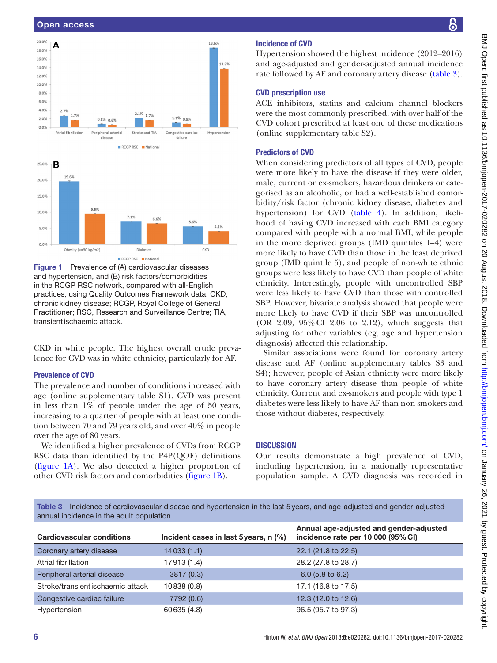

<span id="page-5-0"></span>Figure 1 Prevalence of (A) cardiovascular diseases and hypertension, and (B) risk factors/comorbidities in the RCGP RSC network, compared with all-English practices, using Quality Outcomes Framework data. CKD, chronickidney disease; RCGP, Royal College of General Practitioner; RSC, Research and Surveillance Centre; TIA, transientischaemic attack.

CKD in white people. The highest overall crude prevalence for CVD was in white ethnicity, particularly for AF.

# Prevalence of CVD

The prevalence and number of conditions increased with age (online [supplementary table S1](https://dx.doi.org/10.1136/bmjopen-2017-020282)). CVD was present in less than 1% of people under the age of 50 years, increasing to a quarter of people with at least one condition between 70 and 79 years old, and over 40% in people over the age of 80 years.

We identified a higher prevalence of CVDs from RCGP RSC data than identified by the P4P(QOF) definitions ([figure](#page-5-0) 1A). We also detected a higher proportion of other CVD risk factors and comorbidities [\(figure](#page-5-0) 1B).

# Incidence of CVD

Hypertension showed the highest incidence (2012–2016) and age-adjusted and gender-adjusted annual incidence rate followed by AF and coronary artery disease ([table](#page-5-1) 3).

# CVD prescription use

ACE inhibitors, statins and calcium channel blockers were the most commonly prescribed, with over half of the CVD cohort prescribed at least one of these medications (online [supplementary table S2\)](https://dx.doi.org/10.1136/bmjopen-2017-020282).

# Predictors of CVD

When considering predictors of all types of CVD, people were more likely to have the disease if they were older, male, current or ex-smokers, hazardous drinkers or categorised as an alcoholic, or had a well-established comorbidity/risk factor (chronic kidney disease, diabetes and hypertension) for CVD (table 4). In addition, likelihood of having CVD increased with each BMI category compared with people with a normal BMI, while people in the more deprived groups (IMD quintiles 1–4) were more likely to have CVD than those in the least deprived group (IMD quintile 5), and people of non-white ethnic groups were less likely to have CVD than people of white ethnicity. Interestingly, people with uncontrolled SBP were less likely to have CVD than those with controlled SBP. However, bivariate analysis showed that people were more likely to have CVD if their SBP was uncontrolled (OR 2.09, 95%CI 2.06 to 2.12), which suggests that adjusting for other variables (eg, age and hypertension diagnosis) affected this relationship.

Similar associations were found for coronary artery disease and AF (online [supplementary tables S3 and](https://dx.doi.org/10.1136/bmjopen-2017-020282)  [S4](https://dx.doi.org/10.1136/bmjopen-2017-020282)); however, people of Asian ethnicity were more likely to have coronary artery disease than people of white ethnicity. Current and ex-smokers and people with type 1 diabetes were less likely to have AF than non-smokers and those without diabetes, respectively.

# **DISCUSSION**

Our results demonstrate a high prevalence of CVD, including hypertension, in a nationally representative population sample. A CVD diagnosis was recorded in

<span id="page-5-1"></span>Table 3 Incidence of cardiovascular disease and hypertension in the last 5years, and age-adjusted and gender-adjusted annual incidence in the adult population

| <b>Cardiovascular conditions</b>  | Incident cases in last 5 years, $n$ (%) | Annual age-adjusted and gender-adjusted<br>incidence rate per 10 000 (95% CI) |
|-----------------------------------|-----------------------------------------|-------------------------------------------------------------------------------|
| Coronary artery disease           | 14033 (1.1)                             | 22.1 (21.8 to 22.5)                                                           |
| Atrial fibrillation               | 17913 (1.4)                             | 28.2 (27.8 to 28.7)                                                           |
| Peripheral arterial disease       | 3817(0.3)                               | $6.0$ (5.8 to 6.2)                                                            |
| Stroke/transient ischaemic attack | 10838 (0.8)                             | 17.1 (16.8 to 17.5)                                                           |
| Congestive cardiac failure        | 7792 (0.6)                              | 12.3 (12.0 to 12.6)                                                           |
| Hypertension                      | 60635 (4.8)                             | 96.5 (95.7 to 97.3)                                                           |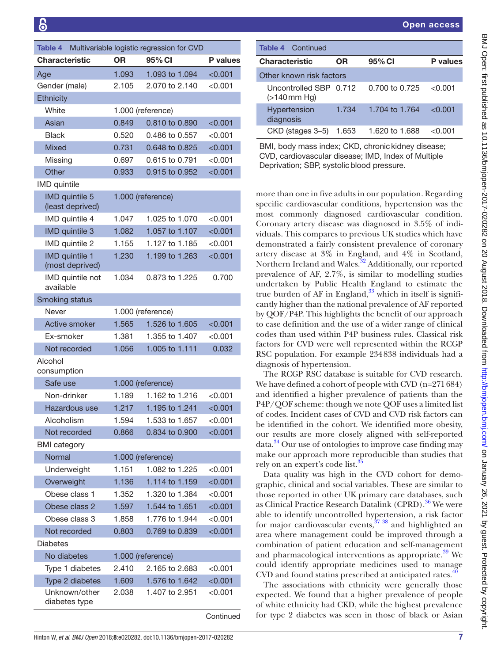| Table 4                                   |       | Multivariable logistic regression for CVD |                 |
|-------------------------------------------|-------|-------------------------------------------|-----------------|
| <b>Characteristic</b>                     | ΟR    | 95% CI                                    | <b>P</b> values |
| Age                                       | 1.093 | 1.093 to 1.094                            | < 0.001         |
| Gender (male)                             | 2.105 | 2.070 to 2.140                            | $<$ 0.001       |
| Ethnicity                                 |       |                                           |                 |
| White                                     |       | 1.000 (reference)                         |                 |
| Asian                                     | 0.849 | 0.810 to 0.890                            | < 0.001         |
| <b>Black</b>                              | 0.520 | 0.486 to 0.557                            | <0.001          |
| <b>Mixed</b>                              | 0.731 | 0.648 to 0.825                            | ${<}0.001$      |
| Missing                                   | 0.697 | 0.615 to 0.791                            | < 0.001         |
| Other                                     | 0.933 | 0.915 to 0.952                            | < 0.001         |
| <b>IMD</b> quintile                       |       |                                           |                 |
| <b>IMD</b> quintile 5<br>(least deprived) |       | 1.000 (reference)                         |                 |
| IMD quintile 4                            | 1.047 | 1.025 to 1.070                            | $<$ 0.001 $\,$  |
| <b>IMD</b> quintile 3                     | 1.082 | 1.057 to 1.107                            | < 0.001         |
| IMD quintile 2                            | 1.155 | 1.127 to 1.185                            | < 0.001         |
| <b>IMD</b> quintile 1<br>(most deprived)  | 1.230 | 1.199 to 1.263                            | < 0.001         |
| IMD quintile not<br>available             | 1.034 | 0.873 to 1.225                            | 0.700           |
| Smoking status                            |       |                                           |                 |
| Never                                     |       | 1.000 (reference)                         |                 |
| Active smoker                             | 1.565 | 1.526 to 1.605                            | < 0.001         |
| Ex-smoker                                 | 1.381 | 1.355 to 1.407                            | < 0.001         |
| Not recorded                              | 1.056 | 1.005 to 1.111                            | 0.032           |
| Alcohol<br>consumption                    |       |                                           |                 |
| Safe use                                  |       | 1.000 (reference)                         |                 |
| Non-drinker                               | 1.189 | 1.162 to 1.216                            | < 0.001         |
| Hazardous use                             | 1.217 | 1.195 to 1.241                            | < 0.001         |
| Alcoholism                                | 1.594 | 1.533 to 1.657                            | < 0.001         |
| Not recorded                              | 0.866 | 0.834 to 0.900                            | < 0.001         |
| <b>BMI</b> category                       |       |                                           |                 |
| Normal                                    |       | 1.000 (reference)                         |                 |
| Underweight                               | 1.151 | 1.082 to 1.225                            | < 0.001         |
| Overweight                                | 1.136 | 1.114 to 1.159                            | < 0.001         |
| Obese class 1                             | 1.352 | 1.320 to 1.384                            | < 0.001         |
| Obese class 2                             | 1.597 | 1.544 to 1.651                            | < 0.001         |
| Obese class 3                             | 1.858 | 1.776 to 1.944                            | < 0.001         |
| Not recorded                              | 0.803 | 0.769 to 0.839                            | < 0.001         |
| Diabetes                                  |       |                                           |                 |
| No diabetes                               |       | 1.000 (reference)                         |                 |
| Type 1 diabetes                           | 2.410 | 2.165 to 2.683                            | < 0.001         |
| Type 2 diabetes                           | 1.609 | 1.576 to 1.642                            | < 0.001         |
| Unknown/other<br>diabetes type            | 2.038 | 1.407 to 2.951                            | $<$ 0.001 $\,$  |

**Continued** 

| <b>Table 4 Continued</b>                  |       |                |                 |
|-------------------------------------------|-------|----------------|-----------------|
| <b>Characteristic</b>                     | OR    | 95% CI         | <b>P</b> values |
| Other known risk factors                  |       |                |                 |
| Uncontrolled SBP 0.712<br>$($ >140 mm Hq) |       | 0.700 to 0.725 | < 0.001         |
| Hypertension<br>diagnosis                 | 1.734 | 1.704 to 1.764 | < 0.001         |
| CKD (stages 3-5)                          | 1.653 | 1.620 to 1.688 | < 0.001         |

BMI, body mass index; CKD, chronic kidney disease; CVD, cardiovascular disease; IMD, Index of Multiple Deprivation; SBP, systolicblood pressure.

more than one in five adults in our population. Regarding specific cardiovascular conditions, hypertension was the most commonly diagnosed cardiovascular condition. Coronary artery disease was diagnosed in 3.5% of individuals. This compares to previous UK studies which have demonstrated a fairly consistent prevalence of coronary artery disease at 3% in England, and 4% in Scotland, Northern Ireland and Wales.<sup>32</sup> Additionally, our reported prevalence of AF, 2.7%, is similar to modelling studies undertaken by Public Health England to estimate the true burden of AF in England, $33$  which in itself is significantly higher than the national prevalence of AF reported by QOF/P4P. This highlights the benefit of our approach to case definition and the use of a wider range of clinical codes than used within P4P business rules. Classical risk factors for CVD were well represented within the RCGP RSC population. For example 234838 individuals had a diagnosis of hypertension.

The RCGP RSC database is suitable for CVD research. We have defined a cohort of people with CVD (n=271684) and identified a higher prevalence of patients than the P4P/QOF scheme: though we note QOF uses a limited list of codes. Incident cases of CVD and CVD risk factors can be identified in the cohort. We identified more obesity, our results are more closely aligned with self-reported data[.34](#page-8-28) Our use of ontologies to improve case finding may make our approach more reproducible than studies that rely on an expert's code list.<sup>3</sup>

Data quality was high in the CVD cohort for demographic, clinical and social variables. These are similar to those reported in other UK primary care databases, such as Clinical Practice Research Datalink (CPRD).<sup>[36](#page-8-30)</sup> We were able to identify uncontrolled hypertension, a risk factor for major cardiovascular events, $37 \frac{38}{10}$  and highlighted an area where management could be improved through a combination of patient education and self-management and pharmacological interventions as appropriate.<sup>39</sup> We could identify appropriate medicines used to manage  $CVD$  and found statins prescribed at anticipated rates. $\frac{4}{3}$ 

The associations with ethnicity were generally those expected. We found that a higher prevalence of people of white ethnicity had CKD, while the highest prevalence for type 2 diabetes was seen in those of black or Asian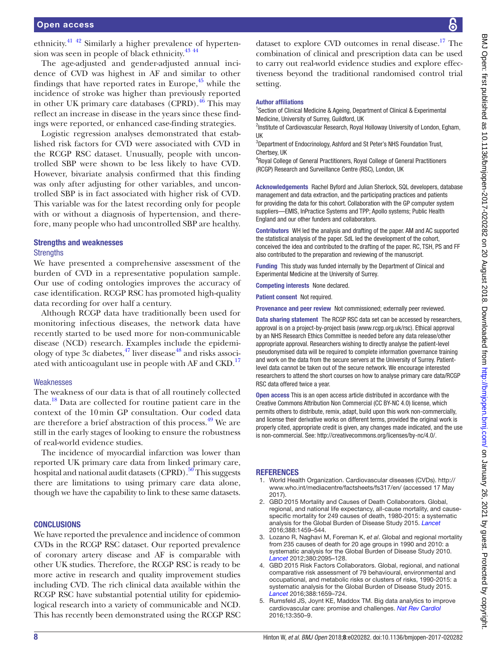ethnicity[.41](#page-8-34) [42](#page-8-35) Similarly a higher prevalence of hyperten-sion was seen in people of black ethnicity.<sup>43</sup> <sup>[44](#page-8-37)</sup>

The age-adjusted and gender-adjusted annual incidence of CVD was highest in AF and similar to other findings that have reported rates in Europe, $45$  while the incidence of stroke was higher than previously reported in other UK primary care databases (CPRD). $46$  This may reflect an increase in disease in the years since these findings were reported, or enhanced case-finding strategies.

Logistic regression analyses demonstrated that established risk factors for CVD were associated with CVD in the RCGP RSC dataset. Unusually, people with uncontrolled SBP were shown to be less likely to have CVD. However, bivariate analysis confirmed that this finding was only after adjusting for other variables, and uncontrolled SBP is in fact associated with higher risk of CVD. This variable was for the latest recording only for people with or without a diagnosis of hypertension, and therefore, many people who had uncontrolled SBP are healthy.

# Strengths and weaknesses

# **Strengths**

We have presented a comprehensive assessment of the burden of CVD in a representative population sample. Our use of coding ontologies improves the accuracy of case identification. RCGP RSC has promoted high-quality data recording for over half a century.

Although RCGP data have traditionally been used for monitoring infectious diseases, the network data have recently started to be used more for non-communicable disease (NCD) research. Examples include the epidemiology of type 3c diabetes,<sup>47</sup> liver disease<sup>48</sup> and risks associated with anticoagulant use in people with AF and CKD.<sup>17</sup>

#### Weaknesses

The weakness of our data is that of all routinely collected data.[18](#page-8-12) Data are collected for routine patient care in the context of the 10min GP consultation. Our coded data are therefore a brief abstraction of this process.<sup>49</sup> We are still in the early stages of looking to ensure the robustness of real-world evidence studies.

The incidence of myocardial infarction was lower than reported UK primary care data from linked primary care, hospital and national audit datasets (CPRD).<sup>50</sup> This suggests there are limitations to using primary care data alone, though we have the capability to link to these same datasets.

#### **CONCLUSIONS**

We have reported the prevalence and incidence of common CVDs in the RCGP RSC dataset. Our reported prevalence of coronary artery disease and AF is comparable with other UK studies. Therefore, the RCGP RSC is ready to be more active in research and quality improvement studies including CVD. The rich clinical data available within the RCGP RSC have substantial potential utility for epidemiological research into a variety of communicable and NCD. This has recently been demonstrated using the RCGP RSC

dataset to explore CVD outcomes in renal disease.<sup>17</sup> The combination of clinical and prescription data can be used to carry out real-world evidence studies and explore effectiveness beyond the traditional randomised control trial setting.

#### Author affiliations

<sup>1</sup>Section of Clinical Medicine & Ageing, Department of Clinical & Experimental Medicine, University of Surrey, Guildford, UK

<sup>2</sup>Institute of Cardiovascular Research, Royal Holloway University of London, Egham, UK

<sup>3</sup>Department of Endocrinology, Ashford and St Peter's NHS Foundation Trust, Chertsey, UK

4 Royal College of General Practitioners, Royal College of General Practitioners (RCGP) Research and Surveillance Centre (RSC), London, UK

Acknowledgements Rachel Byford and Julian Sherlock, SQL developers, database management and data extraction, and the participating practices and patients for providing the data for this cohort. Collaboration with the GP computer system suppliers—EMIS, InPractice Systems and TPP; Apollo systems; Public Health England and our other funders and collaborators.

Contributors WH led the analysis and drafting of the paper. AM and AC supported the statistical analysis of the paper. SdL led the development of the cohort, conceived the idea and contributed to the drafting of the paper. RC, TSH, PS and FF also contributed to the preparation and reviewing of the manuscript.

Funding This study was funded internally by the Department of Clinical and Experimental Medicine at the University of Surrey.

Competing interests None declared.

Patient consent Not required.

Provenance and peer review Not commissioned; externally peer reviewed.

Data sharing statement The RCGP RSC data set can be accessed by researchers, approval is on a project-by-project basis (www.rcgp.org.uk/rsc). Ethical approval by an NHS Research Ethics Committee is needed before any data release/other appropriate approval. Researchers wishing to directly analyse the patient-level pseudonymised data will be required to complete information governance training and work on the data from the secure servers at the University of Surrey. Patientlevel data cannot be taken out of the secure network. We encourage interested researchers to attend the short courses on how to analyse primary care data/RCGP RSC data offered twice a year.

Open access This is an open access article distributed in accordance with the Creative Commons Attribution Non Commercial (CC BY-NC 4.0) license, which permits others to distribute, remix, adapt, build upon this work non-commercially, and license their derivative works on different terms, provided the original work is properly cited, appropriate credit is given, any changes made indicated, and the use is non-commercial. See: [http://creativecommons.org/licenses/by-nc/4.0/.](http://creativecommons.org/licenses/by-nc/4.0/)

#### **REFERENCES**

- <span id="page-7-0"></span>1. World Health Organization. Cardiovascular diseases (CVDs). [http://](http://www.who.int/mediacentre/factsheets/fs317/en/) [www.who.int/mediacentre/factsheets/fs317/en/](http://www.who.int/mediacentre/factsheets/fs317/en/) (accessed 17 May 2017).
- <span id="page-7-1"></span>2. GBD 2015 Mortality and Causes of Death Collaborators. Global, regional, and national life expectancy, all-cause mortality, and causespecific mortality for 249 causes of death, 1980-2015: a systematic analysis for the Global Burden of Disease Study 2015. *[Lancet](http://dx.doi.org/10.1016/S0140-6736(16)31012-1)* 2016;388:1459–544.
- <span id="page-7-2"></span>3. Lozano R, Naghavi M, Foreman K, *et al*. Global and regional mortality from 235 causes of death for 20 age groups in 1990 and 2010: a systematic analysis for the Global Burden of Disease Study 2010. *[Lancet](http://dx.doi.org/10.1016/S0140-6736(12)61728-0)* 2012;380:2095–128.
- <span id="page-7-3"></span>4. GBD 2015 Risk Factors Collaborators. Global, regional, and national comparative risk assessment of 79 behavioural, environmental and occupational, and metabolic risks or clusters of risks, 1990-2015: a systematic analysis for the Global Burden of Disease Study 2015. *[Lancet](http://dx.doi.org/10.1016/S0140-6736(16)31679-8)* 2016;388:1659–724.
- <span id="page-7-4"></span>5. Rumsfeld JS, Joynt KE, Maddox TM. Big data analytics to improve cardiovascular care: promise and challenges. *[Nat Rev Cardiol](http://dx.doi.org/10.1038/nrcardio.2016.42)* 2016;13:350–9.